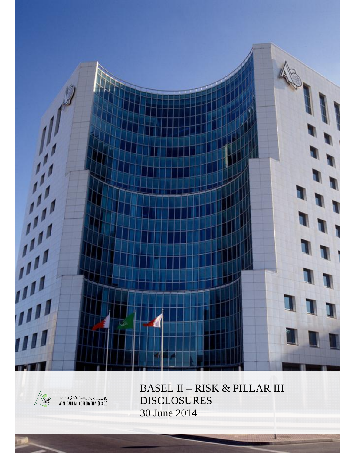



BASEL II – RISK & PILLAR III DISCLOSURES 30 June 2014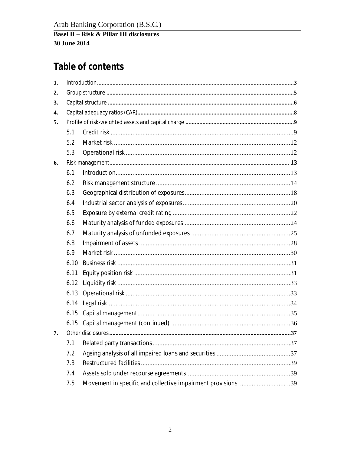### Table of contents

| 1. |      |                                                              |  |
|----|------|--------------------------------------------------------------|--|
| 2. |      |                                                              |  |
| 3. |      |                                                              |  |
| 4. |      |                                                              |  |
| 5. |      |                                                              |  |
|    | 5.1  |                                                              |  |
|    | 5.2  |                                                              |  |
|    | 5.3  |                                                              |  |
| 6. |      |                                                              |  |
|    | 6.1  |                                                              |  |
|    | 6.2  |                                                              |  |
|    | 6.3  |                                                              |  |
|    | 6.4  |                                                              |  |
|    | 6.5  |                                                              |  |
|    | 6.6  |                                                              |  |
|    | 6.7  |                                                              |  |
|    | 6.8  |                                                              |  |
|    | 6.9  |                                                              |  |
|    | 6.10 |                                                              |  |
|    | 6.11 |                                                              |  |
|    | 6.12 |                                                              |  |
|    | 6.13 |                                                              |  |
|    |      |                                                              |  |
|    | 6.15 |                                                              |  |
|    |      |                                                              |  |
| 7. |      |                                                              |  |
|    | 7.1  |                                                              |  |
|    | 7.2  |                                                              |  |
|    | 7.3  |                                                              |  |
|    | 7.4  |                                                              |  |
|    | 7.5  | Movement in specific and collective impairment provisions 39 |  |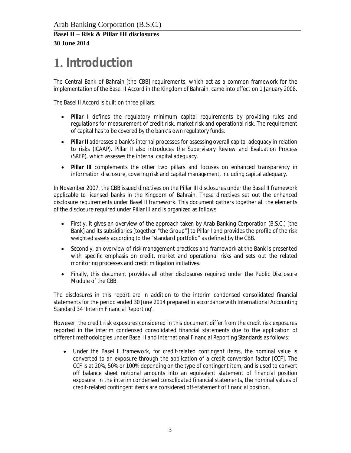# **1. Introduction**

The Central Bank of Bahrain [the CBB] requirements, which act as a common framework for the implementation of the Basel II Accord in the Kingdom of Bahrain, came into effect on 1 January 2008.

The Basel II Accord is built on three pillars:

- · **Pillar I** defines the regulatory minimum capital requirements by providing rules and regulations for measurement of credit risk, market risk and operational risk. The requirement of capital has to be covered by the bank's own regulatory funds.
- · **Pillar II** addresses a bank's internal processes for assessing overall capital adequacy in relation to risks (ICAAP). Pillar II also introduces the Supervisory Review and Evaluation Process (SREP), which assesses the internal capital adequacy.
- · **Pillar III** complements the other two pillars and focuses on enhanced transparency in information disclosure, covering risk and capital management, including capital adequacy.

In November 2007, the CBB issued directives on the Pillar III disclosures under the Basel II framework applicable to licensed banks in the Kingdom of Bahrain. These directives set out the enhanced disclosure requirements under Basel II framework. This document gathers together all the elements of the disclosure required under Pillar III and is organized as follows:

- Firstly, it gives an overview of the approach taken by Arab Banking Corporation (B.S.C.) [the Bank] and its subsidiaries [together "the Group"] to Pillar I and provides the profile of the risk weighted assets according to the "standard portfolio" as defined by the CBB.
- · Secondly, an overview of risk management practices and framework at the Bank is presented with specific emphasis on credit, market and operational risks and sets out the related monitoring processes and credit mitigation initiatives.
- · Finally, this document provides all other disclosures required under the Public Disclosure Module of the CBB.

The disclosures in this report are in addition to the interim condensed consolidated financial statements for the period ended 30 June 2014 prepared in accordance with International Accounting Standard 34 'Interim Financial Reporting'.

However, the credit risk exposures considered in this document differ from the credit risk exposures reported in the interim condensed consolidated financial statements due to the application of different methodologies under Basel II and International Financial Reporting Standards as follows:

· Under the Basel II framework, for credit-related contingent items, the nominal value is converted to an exposure through the application of a credit conversion factor [CCF]. The CCF is at 20%, 50% or 100% depending on the type of contingent item, and is used to convert off balance sheet notional amounts into an equivalent statement of financial position exposure. In the interim condensed consolidated financial statements, the nominal values of credit-related contingent items are considered off-statement of financial position.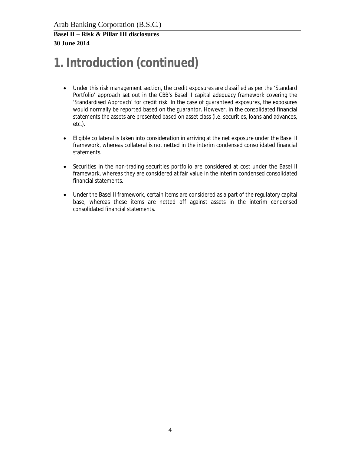# **1. Introduction (continued)**

- · Under this risk management section, the credit exposures are classified as per the 'Standard Portfolio' approach set out in the CBB's Basel II capital adequacy framework covering the 'Standardised Approach' for credit risk. In the case of guaranteed exposures, the exposures would normally be reported based on the guarantor. However, in the consolidated financial statements the assets are presented based on asset class (i.e. securities, loans and advances, etc.).
- · Eligible collateral is taken into consideration in arriving at the net exposure under the Basel II framework, whereas collateral is not netted in the interim condensed consolidated financial statements.
- · Securities in the non-trading securities portfolio are considered at cost under the Basel II framework, whereas they are considered at fair value in the interim condensed consolidated financial statements.
- · Under the Basel II framework, certain items are considered as a part of the regulatory capital base, whereas these items are netted off against assets in the interim condensed consolidated financial statements.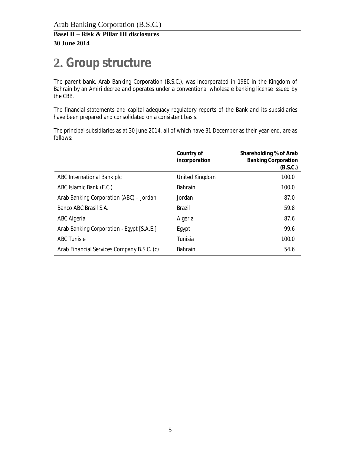## **2. Group structure**

The parent bank, Arab Banking Corporation (B.S.C.), was incorporated in 1980 in the Kingdom of Bahrain by an Amiri decree and operates under a conventional wholesale banking license issued by the CBB.

The financial statements and capital adequacy regulatory reports of the Bank and its subsidiaries have been prepared and consolidated on a consistent basis.

The principal subsidiaries as at 30 June 2014, all of which have 31 December as their year-end, are as follows:

|                                            | Country of<br>incorporation | Shareholding % of Arab<br><b>Banking Corporation</b><br>(B.S.C.) |
|--------------------------------------------|-----------------------------|------------------------------------------------------------------|
| ABC International Bank plc                 | <b>United Kingdom</b>       | 100.0                                                            |
| ABC Islamic Bank (E.C.)                    | Bahrain                     | 100.0                                                            |
| Arab Banking Corporation (ABC) - Jordan    | Jordan                      | 87.0                                                             |
| Banco ABC Brasil S.A.                      | Brazil                      | 59.8                                                             |
| ABC Algeria                                | Algeria                     | 87.6                                                             |
| Arab Banking Corporation - Egypt [S.A.E.]  | Egypt                       | 99.6                                                             |
| <b>ABC Tunisie</b>                         | Tunisia                     | 100.0                                                            |
| Arab Financial Services Company B.S.C. (c) | Bahrain                     | 54.6                                                             |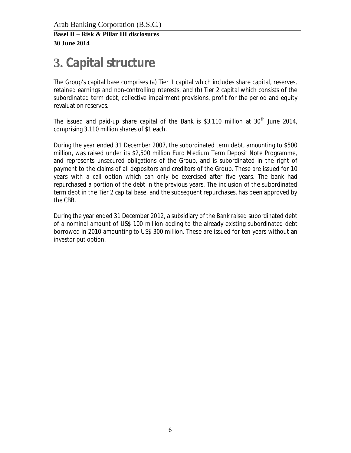# **3. Capital structure**

The Group's capital base comprises (a) Tier 1 capital which includes share capital, reserves, retained earnings and non-controlling interests, and (b) Tier 2 capital which consists of the subordinated term debt, collective impairment provisions, profit for the period and equity revaluation reserves.

The issued and paid-up share capital of the Bank is \$3,110 million at  $30<sup>th</sup>$  June 2014, comprising 3,110 million shares of \$1 each.

During the year ended 31 December 2007, the subordinated term debt, amounting to \$500 million, was raised under its \$2,500 million Euro Medium Term Deposit Note Programme, and represents unsecured obligations of the Group, and is subordinated in the right of payment to the claims of all depositors and creditors of the Group. These are issued for 10 years with a call option which can only be exercised after five years. The bank had repurchased a portion of the debt in the previous years. The inclusion of the subordinated term debt in the Tier 2 capital base, and the subsequent repurchases, has been approved by the CBB.

During the year ended 31 December 2012, a subsidiary of the Bank raised subordinated debt of a nominal amount of US\$ 100 million adding to the already existing subordinated debt borrowed in 2010 amounting to US\$ 300 million. These are issued for ten years without an investor put option.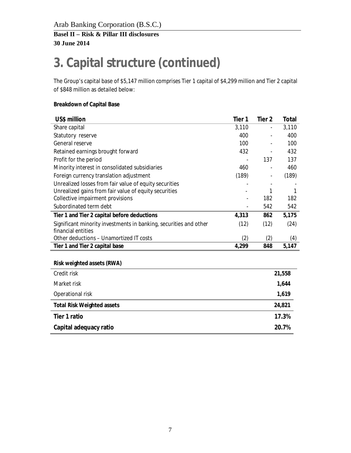# **3. Capital structure (continued)**

The Group's capital base of \$5,147 million comprises Tier 1 capital of \$4,299 million and Tier 2 capital of \$848 million as detailed below:

**Breakdown of Capital Base**

| US\$ million                                                      | Tier 1 | Tier 2 | Total |
|-------------------------------------------------------------------|--------|--------|-------|
| Share capital                                                     | 3,110  | ۰      | 3,110 |
| Statutory reserve                                                 | 400    |        | 400   |
| General reserve                                                   | 100    |        | 100   |
| Retained earnings brought forward                                 | 432    |        | 432   |
| Profit for the period                                             |        | 137    | 137   |
| Minority interest in consolidated subsidiaries                    | 460    |        | 460   |
| Foreign currency translation adjustment                           | (189)  |        | (189) |
| Unrealized losses from fair value of equity securities            |        |        |       |
| Unrealized gains from fair value of equity securities             |        |        |       |
| Collective impairment provisions                                  |        | 182    | 182   |
| Subordinated term debt                                            |        | 542    | 542   |
| Tier 1 and Tier 2 capital before deductions                       | 4.313  | 862    | 5,175 |
| Significant minority investments in banking, securities and other | (12)   | (12)   | (24)  |
| financial entities                                                |        |        |       |
| Other deductions – Unamortized IT costs                           | (2)    | (2)    | (4)   |
| Tier 1 and Tier 2 capital base                                    | 4,299  | 848    | 5,147 |
|                                                                   |        |        |       |

**Risk weighted assets (RWA)**

| Credit risk                | 21,558 |
|----------------------------|--------|
| Market risk                | 1,644  |
| Operational risk           | 1,619  |
| Total Risk Weighted assets | 24,821 |
| Tier 1 ratio               | 17.3%  |
| Capital adequacy ratio     | 20.7%  |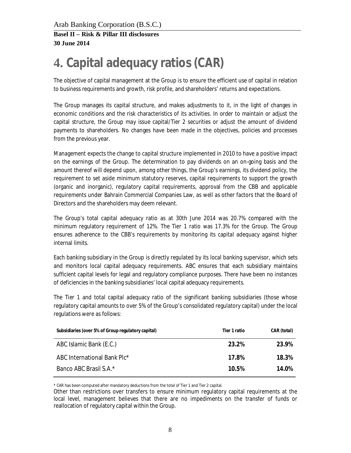# **4. Capital adequacy ratios (CAR)**

The objective of capital management at the Group is to ensure the efficient use of capital in relation to business requirements and growth, risk profile, and shareholders' returns and expectations.

The Group manages its capital structure, and makes adjustments to it, in the light of changes in economic conditions and the risk characteristics of its activities. In order to maintain or adjust the capital structure, the Group may issue capital/Tier 2 securities or adjust the amount of dividend payments to shareholders. No changes have been made in the objectives, policies and processes from the previous year.

Management expects the change to capital structure implemented in 2010 to have a positive impact on the earnings of the Group. The determination to pay dividends on an on-going basis and the amount thereof will depend upon, among other things, the Group's earnings, its dividend policy, the requirement to set aside minimum statutory reserves, capital requirements to support the growth (organic and inorganic), regulatory capital requirements, approval from the CBB and applicable requirements under Bahrain Commercial Companies Law, as well as other factors that the Board of Directors and the shareholders may deem relevant.

The Group's total capital adequacy ratio as at 30th June 2014 was 20.7% compared with the minimum regulatory requirement of 12%. The Tier 1 ratio was 17.3% for the Group. The Group ensures adherence to the CBB's requirements by monitoring its capital adequacy against higher internal limits.

Each banking subsidiary in the Group is directly regulated by its local banking supervisor, which sets and monitors local capital adequacy requirements. ABC ensures that each subsidiary maintains sufficient capital levels for legal and regulatory compliance purposes. There have been no instances of deficiencies in the banking subsidiaries' local capital adequacy requirements.

The Tier 1 and total capital adequacy ratio of the significant banking subsidiaries (those whose regulatory capital amounts to over 5% of the Group's consolidated regulatory capital) under the local regulations were as follows:

| Subsidiaries (over 5% of Group regulatory capital) | Tier 1 ratio | CAR (total) |
|----------------------------------------------------|--------------|-------------|
| ABC Islamic Bank (E.C.)                            | 23.2%        | 23.9%       |
| ABC International Bank Plc*                        | 17.8%        | 18.3%       |
| Banco ABC Brasil S.A.*                             | 10.5%        | 14.0%       |

\* CAR has been computed after mandatory deductions from the total of Tier 1 and Tier 2 capital.

Other than restrictions over transfers to ensure minimum regulatory capital requirements at the local level, management believes that there are no impediments on the transfer of funds or reallocation of regulatory capital within the Group.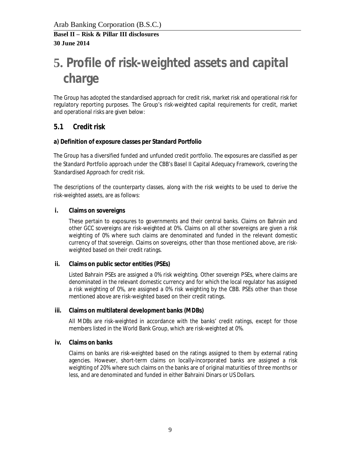# **5. Profile of risk-weighted assets and capital charge**

The Group has adopted the standardised approach for credit risk, market risk and operational risk for regulatory reporting purposes. The Group's risk-weighted capital requirements for credit, market and operational risks are given below:

#### **5.1 Credit risk**

#### **a) Definition of exposure classes per Standard Portfolio**

The Group has a diversified funded and unfunded credit portfolio. The exposures are classified as per the Standard Portfolio approach under the CBB's Basel II Capital Adequacy Framework, covering the Standardised Approach for credit risk.

The descriptions of the counterparty classes, along with the risk weights to be used to derive the risk-weighted assets, are as follows:

**i. Claims on sovereigns**

These pertain to exposures to governments and their central banks. Claims on Bahrain and other GCC sovereigns are risk-weighted at 0%. Claims on all other sovereigns are given a risk weighting of 0% where such claims are denominated and funded in the relevant domestic currency of that sovereign. Claims on sovereigns, other than those mentioned above, are riskweighted based on their credit ratings.

**ii. Claims on public sector entities (PSEs)**

Listed Bahrain PSEs are assigned a 0% risk weighting. Other sovereign PSEs, where claims are denominated in the relevant domestic currency and for which the local regulator has assigned a risk weighting of 0%, are assigned a 0% risk weighting by the CBB. PSEs other than those mentioned above are risk-weighted based on their credit ratings.

**iii. Claims on multilateral development banks (MDBs)**

All MDBs are risk-weighted in accordance with the banks' credit ratings, except for those members listed in the World Bank Group, which are risk-weighted at 0%.

**iv. Claims on banks**

Claims on banks are risk-weighted based on the ratings assigned to them by external rating agencies. However, short-term claims on locally-incorporated banks are assigned a risk weighting of 20% where such claims on the banks are of original maturities of three months or less, and are denominated and funded in either Bahraini Dinars or US Dollars.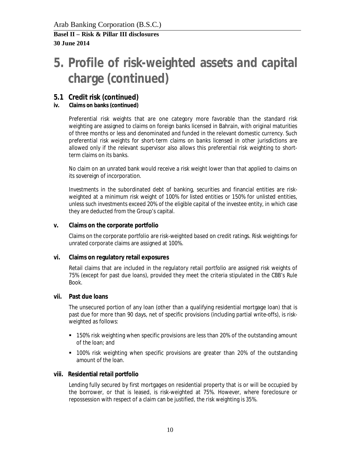# **5. Profile of risk-weighted assets and capital charge (continued)**

#### **5.1 Credit risk (continued)**

#### **iv. Claims on banks (continued)**

Preferential risk weights that are one category more favorable than the standard risk weighting are assigned to claims on foreign banks licensed in Bahrain, with original maturities of three months or less and denominated and funded in the relevant domestic currency. Such preferential risk weights for short-term claims on banks licensed in other jurisdictions are allowed only if the relevant supervisor also allows this preferential risk weighting to shortterm claims on its banks.

No claim on an unrated bank would receive a risk weight lower than that applied to claims on its sovereign of incorporation.

Investments in the subordinated debt of banking, securities and financial entities are riskweighted at a minimum risk weight of 100% for listed entities or 150% for unlisted entities, unless such investments exceed 20% of the eligible capital of the investee entity, in which case they are deducted from the Group's capital.

#### **v. Claims on the corporate portfolio**

Claims on the corporate portfolio are risk-weighted based on credit ratings. Risk weightings for unrated corporate claims are assigned at 100%.

#### **vi. Claims on regulatory retail exposures**

Retail claims that are included in the regulatory retail portfolio are assigned risk weights of 75% (except for past due loans), provided they meet the criteria stipulated in the CBB's Rule Book.

#### **vii. Past due loans**

The unsecured portion of any loan (other than a qualifying residential mortgage loan) that is past due for more than 90 days, net of specific provisions (including partial write-offs), is riskweighted as follows:

- § 150% risk weighting when specific provisions are less than 20% of the outstanding amount of the loan; and
- § 100% risk weighting when specific provisions are greater than 20% of the outstanding amount of the loan.

#### **viii. Residential retail portfolio**

Lending fully secured by first mortgages on residential property that is or will be occupied by the borrower, or that is leased, is risk-weighted at 75%. However, where foreclosure or repossession with respect of a claim can be justified, the risk weighting is 35%.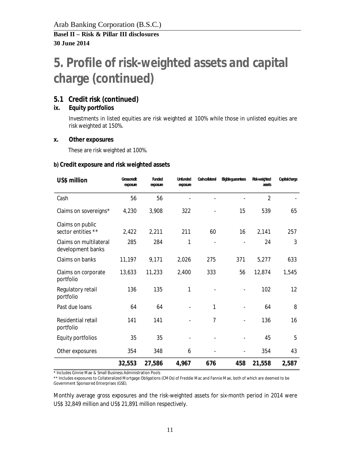# **5. Profile of risk-weighted assets and capital charge (continued)**

- **5.1 Credit risk (continued)**
- **ix. Equity portfolios**

Investments in listed equities are risk weighted at 100% while those in unlisted equities are risk weighted at 150%.

**x. Other exposures**

These are risk weighted at 100%.

#### **b) Credit exposure and risk weighted assets**

| US\$ million                                | Grosscredit<br>exposure | Funded<br>exposure | <b>Unfunded</b><br>exposure | Cashcollateral | Eligibleguarantees | Risk-weighted<br>assets | Capitalcharge |
|---------------------------------------------|-------------------------|--------------------|-----------------------------|----------------|--------------------|-------------------------|---------------|
| Cash                                        | 56                      | 56                 |                             |                |                    | $\overline{2}$          |               |
| Claims on sovereigns*                       | 4,230                   | 3,908              | 322                         |                | 15                 | 539                     | 65            |
| Claims on public<br>sector entities **      | 2,422                   | 2,211              | 211                         | 60             | 16                 | 2,141                   | 257           |
| Claims on multilateral<br>development banks | 285                     | 284                | 1                           |                |                    | 24                      | 3             |
| Claims on banks                             | 11,197                  | 9,171              | 2,026                       | 275            | 371                | 5,277                   | 633           |
| Claims on corporate<br>portfolio            | 13,633                  | 11,233             | 2,400                       | 333            | 56                 | 12,874                  | 1,545         |
| Regulatory retail<br>portfolio              | 136                     | 135                | 1                           |                |                    | 102                     | 12            |
| Past due loans                              | 64                      | 64                 |                             | 1              |                    | 64                      | 8             |
| Residential retail<br>portfolio             | 141                     | 141                |                             | 7              |                    | 136                     | 16            |
| Equity portfolios                           | 35                      | 35                 |                             |                |                    | 45                      | 5             |
| Other exposures                             | 354                     | 348                | 6                           |                |                    | 354                     | 43            |
|                                             | 32,553                  | 27,586             | 4,967                       | 676            | 458                | 21,558                  | 2,587         |

\* Includes Ginnie Mae & Small Business Administration Pools

\*\* Includes exposures to Collateralized Mortgage Obligations (CMOs) of Freddie Mac and Fannie Mae, both of which are deemed to be Government Sponsored Enterprises (GSE).

Monthly average gross exposures and the risk-weighted assets for six-month period in 2014 were US\$ 32,849 million and US\$ 21,891 million respectively.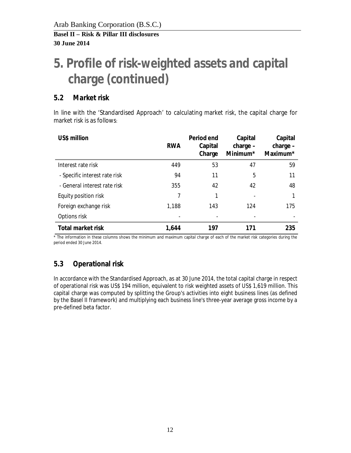# **5. Profile of risk-weighted assets and capital charge (continued)**

#### **5.2 Market risk**

In line with the 'Standardised Approach' to calculating market risk, the capital charge for market risk is as follows:

| US\$ million                  | RWA   | Period end<br>Capital<br>Charge | Capital<br>$charge -$<br>Minimum <sup>*</sup> | Capital<br>$charge -$<br>Maximum <sup>*</sup> |
|-------------------------------|-------|---------------------------------|-----------------------------------------------|-----------------------------------------------|
| Interest rate risk            | 449   | 53                              | 47                                            | 59                                            |
| - Specific interest rate risk | 94    | 11                              | 5                                             | 11                                            |
| - General interest rate risk  | 355   | 42                              | 42                                            | 48                                            |
| Equity position risk          | 7     |                                 |                                               |                                               |
| Foreign exchange risk         | 1,188 | 143                             | 124                                           | 175                                           |
| Options risk                  |       |                                 |                                               |                                               |
| Total market risk             | 1,644 | 197                             | 171                                           | 235                                           |

\* The information in these columns shows the minimum and maximum capital charge of each of the market risk categories during the period ended 30 June 2014.

### **5.3 Operational risk**

In accordance with the Standardised Approach, as at 30 June 2014, the total capital charge in respect of operational risk was US\$ 194 million, equivalent to risk weighted assets of US\$ 1,619 million. This capital charge was computed by splitting the Group's activities into eight business lines (as defined by the Basel II framework) and multiplying each business line's three-year average gross income by a pre-defined beta factor.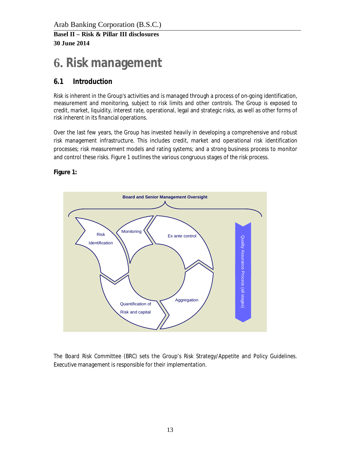# **6. Risk management**

### **6.1 Introduction**

Risk is inherent in the Group's activities and is managed through a process of on-going identification, measurement and monitoring, subject to risk limits and other controls. The Group is exposed to credit, market, liquidity, interest rate, operational, legal and strategic risks, as well as other forms of risk inherent in its financial operations.

Over the last few years, the Group has invested heavily in developing a comprehensive and robust risk management infrastructure. This includes credit, market and operational risk identification processes; risk measurement models and rating systems; and a strong business process to monitor and control these risks. Figure 1 outlines the various congruous stages of the risk process.

**Figure 1:**



The Board Risk Committee (BRC) sets the Group's Risk Strategy/Appetite and Policy Guidelines. Executive management is responsible for their implementation.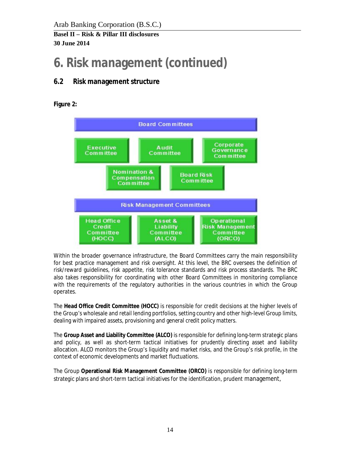Arab Banking Corporation (B.S.C.)

**Basel II – Risk & Pillar III disclosures 30 June 2014**

## **6. Risk management (continued)**

### **6.2 Risk management structure**

**Figure 2:**



Within the broader governance infrastructure, the Board Committees carry the main responsibility for best practice management and risk oversight. At this level, the BRC oversees the definition of risk/reward guidelines, risk appetite, risk tolerance standards and risk process standards. The BRC also takes responsibility for coordinating with other Board Committees in monitoring compliance with the requirements of the regulatory authorities in the various countries in which the Group operates.

The **Head Office Credit Committee (HOCC)** is responsible for credit decisions at the higher levels of the Group's wholesale and retail lending portfolios, setting country and other high-level Group limits, dealing with impaired assets, provisioning and general credit policy matters.

The **Group Asset and Liability Committee (ALCO)** is responsible for defining long-term strategic plans and policy, as well as short-term tactical initiatives for prudently directing asset and liability allocation. ALCO monitors the Group's liquidity and market risks, and the Group's risk profile, in the context of economic developments and market fluctuations.

The Group **Operational Risk Management Committee (ORCO)** is responsible for defining long-term strategic plans and short-term tactical initiatives for the identification, prudent management,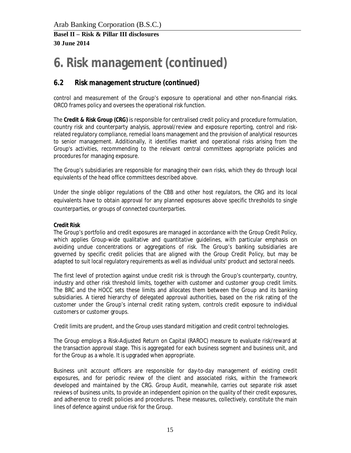# **6. Risk management (continued)**

### **6.2 Risk management structure (continued)**

control and measurement of the Group's exposure to operational and other non-financial risks. ORCO frames policy and oversees the operational risk function.

The **Credit & Risk Group (CRG)** is responsible for centralised credit policy and procedure formulation, country risk and counterparty analysis, approval/review and exposure reporting, control and riskrelated regulatory compliance, remedial loans management and the provision of analytical resources to senior management. Additionally, it identifies market and operational risks arising from the Group's activities, recommending to the relevant central committees appropriate policies and procedures for managing exposure.

The Group's subsidiaries are responsible for managing their own risks, which they do through local equivalents of the head office committees described above.

Under the single obligor regulations of the CBB and other host regulators, the CRG and its local equivalents have to obtain approval for any planned exposures above specific thresholds to single counterparties, or groups of connected counterparties.

#### **Credit Risk**

The Group's portfolio and credit exposures are managed in accordance with the Group Credit Policy, which applies Group-wide qualitative and quantitative guidelines, with particular emphasis on avoiding undue concentrations or aggregations of risk. The Group's banking subsidiaries are governed by specific credit policies that are aligned with the Group Credit Policy, but may be adapted to suit local regulatory requirements as well as individual units' product and sectoral needs.

The first level of protection against undue credit risk is through the Group's counterparty, country, industry and other risk threshold limits, together with customer and customer group credit limits. The BRC and the HOCC sets these limits and allocates them between the Group and its banking subsidiaries. A tiered hierarchy of delegated approval authorities, based on the risk rating of the customer under the Group's internal credit rating system, controls credit exposure to individual customers or customer groups.

Credit limits are prudent, and the Group uses standard mitigation and credit control technologies.

The Group employs a Risk-Adjusted Return on Capital (RAROC) measure to evaluate risk/reward at the transaction approval stage. This is aggregated for each business segment and business unit, and for the Group as a whole. It is upgraded when appropriate.

Business unit account officers are responsible for day-to-day management of existing credit exposures, and for periodic review of the client and associated risks, within the framework developed and maintained by the CRG. Group Audit, meanwhile, carries out separate risk asset reviews of business units, to provide an independent opinion on the quality of their credit exposures, and adherence to credit policies and procedures. These measures, collectively, constitute the main lines of defence against undue risk for the Group.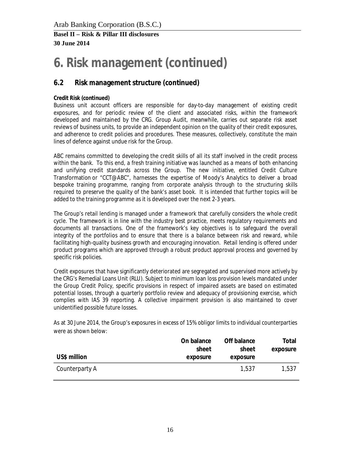# **6. Risk management (continued)**

### **6.2 Risk management structure (continued)**

#### **Credit Risk (continued)**

Business unit account officers are responsible for day-to-day management of existing credit exposures, and for periodic review of the client and associated risks, within the framework developed and maintained by the CRG. Group Audit, meanwhile, carries out separate risk asset reviews of business units, to provide an independent opinion on the quality of their credit exposures, and adherence to credit policies and procedures. These measures, collectively, constitute the main lines of defence against undue risk for the Group.

ABC remains committed to developing the credit skills of all its staff involved in the credit process within the bank. To this end, a fresh training initiative was launched as a means of both enhancing and unifying credit standards across the Group. The new initiative, entitled Credit Culture Transformation or "CCT@ABC", harnesses the expertise of Moody's Analytics to deliver a broad bespoke training programme, ranging from corporate analysis through to the structuring skills required to preserve the quality of the bank's asset book. It is intended that further topics will be added to the training programme as it is developed over the next 2-3 years.

The Group's retail lending is managed under a framework that carefully considers the whole credit cycle. The framework is in line with the industry best practice, meets regulatory requirements and documents all transactions. One of the framework's key objectives is to safeguard the overall integrity of the portfolios and to ensure that there is a balance between risk and reward, while facilitating high-quality business growth and encouraging innovation. Retail lending is offered under product programs which are approved through a robust product approval process and governed by specific risk policies.

Credit exposures that have significantly deteriorated are segregated and supervised more actively by the CRG's Remedial Loans Unit (RLU). Subject to minimum loan loss provision levels mandated under the Group Credit Policy, specific provisions in respect of impaired assets are based on estimated potential losses, through a quarterly portfolio review and adequacy of provisioning exercise, which complies with IAS 39 reporting. A collective impairment provision is also maintained to cover unidentified possible future losses.

As at 30 June 2014, the Group's exposures in excess of 15% obligor limits to individual counterparties were as shown below:

|                | On balance | Off balance | Total    |
|----------------|------------|-------------|----------|
|                | sheet      | sheet       | exposure |
| US\$ million   | exposure   | exposure    |          |
| Counterparty A |            | 1.537       | 1,537    |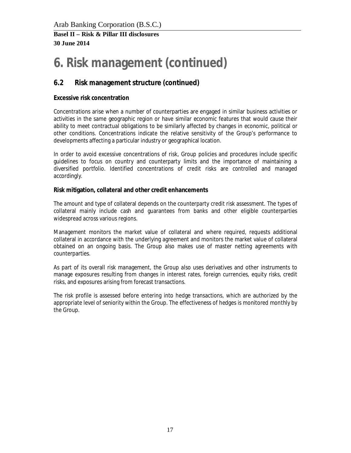## **6. Risk management (continued)**

### **6.2 Risk management structure (continued)**

#### **Excessive risk concentration**

Concentrations arise when a number of counterparties are engaged in similar business activities or activities in the same geographic region or have similar economic features that would cause their ability to meet contractual obligations to be similarly affected by changes in economic, political or other conditions. Concentrations indicate the relative sensitivity of the Group's performance to developments affecting a particular industry or geographical location.

In order to avoid excessive concentrations of risk, Group policies and procedures include specific guidelines to focus on country and counterparty limits and the importance of maintaining a diversified portfolio. Identified concentrations of credit risks are controlled and managed accordingly.

#### **Risk mitigation, collateral and other credit enhancements**

The amount and type of collateral depends on the counterparty credit risk assessment. The types of collateral mainly include cash and guarantees from banks and other eligible counterparties widespread across various regions.

Management monitors the market value of collateral and where required, requests additional collateral in accordance with the underlying agreement and monitors the market value of collateral obtained on an ongoing basis. The Group also makes use of master netting agreements with counterparties.

As part of its overall risk management, the Group also uses derivatives and other instruments to manage exposures resulting from changes in interest rates, foreign currencies, equity risks, credit risks, and exposures arising from forecast transactions.

The risk profile is assessed before entering into hedge transactions, which are authorized by the appropriate level of seniority within the Group. The effectiveness of hedges is monitored monthly by the Group.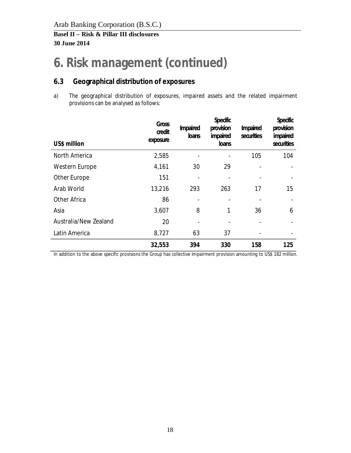## **6. Risk management (continued)**

### **6.3 Geographical distribution of exposures**

a) The geographical distribution of exposures, impaired assets and the related impairment provisions can be analysed as follows:

| US\$ million          | Gross<br>credit<br>exposure | Impaired<br>loans | Specific<br>provision<br>impaired<br>loans | Impaired<br>securities | Specific<br>provision<br>impaired<br>securities |
|-----------------------|-----------------------------|-------------------|--------------------------------------------|------------------------|-------------------------------------------------|
| North America         | 2,585                       |                   | $\overline{\phantom{a}}$                   | 105                    | 104                                             |
| Western Europe        | 4,161                       | 30                | 29                                         |                        |                                                 |
| Other Europe          | 151                         |                   |                                            |                        |                                                 |
| Arab World            | 13,216                      | 293               | 263                                        | 17                     | 15                                              |
| <b>Other Africa</b>   | 86                          |                   | $\overline{\phantom{a}}$                   |                        |                                                 |
| Asia                  | 3,607                       | 8                 | 1                                          | 36                     | 6                                               |
| Australia/New Zealand | 20                          |                   |                                            |                        |                                                 |
| Latin America         | 8,727                       | 63                | 37                                         |                        |                                                 |
|                       | 32,553                      | 394               | 330                                        | 158                    | 125                                             |

In addition to the above specific provisions the Group has collective Impairment provision amounting to US\$ 182 million.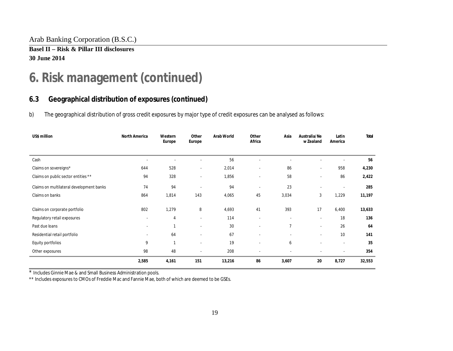Arab Banking Corporation (B.S.C.)

**Basel II – Risk & Pillar III disclosures 30 June 2014**

# **6. Risk management (continued)**

### **6.3 Geographical distribution of exposures (continued)**

b) The geographical distribution of gross credit exposures by major type of credit exposures can be analysed as follows:

| US\$ million                             | North America | Western<br>Europe | Other<br>Europe | Arab World | Other<br>Africa          | Asia           | Australia/Ne<br>w Zealand | Latin<br>America | Total  |
|------------------------------------------|---------------|-------------------|-----------------|------------|--------------------------|----------------|---------------------------|------------------|--------|
|                                          |               |                   |                 |            |                          |                |                           |                  |        |
| Cash                                     |               |                   |                 | 56         |                          |                |                           |                  | 56     |
| Claims on sovereigns*                    | 644           | 528               | $\sim$          | 2,014      | ٠                        | 86             | ٠                         | 958              | 4,230  |
| Claims on public sector entities **      | 94            | 328               | ٠               | 1,856      | ٠                        | 58             | ٠                         | 86               | 2,422  |
| Claims on multilateral development banks | 74            | 94                |                 | 94         | ٠                        | 23             |                           | ٠                | 285    |
| Claims on banks                          | 864           | 1,814             | 143             | 4,065      | 45                       | 3,034          | 3                         | 1,229            | 11,197 |
| Claims on corporate portfolio            | 802           | 1,279             | 8               | 4,693      | 41                       | 393            | 17                        | 6,400            | 13,633 |
| Regulatory retail exposures              | ٠             | 4                 |                 | 114        |                          | ٠              | ٠                         | 18               | 136    |
| Past due loans                           | ٠             | 1                 | ٠               | 30         | ٠                        | $\overline{7}$ | ٠                         | 26               | 64     |
| Residential retail portfolio             | ٠             | 64                |                 | 67         | ٠                        |                | ٠                         | 10               | 141    |
| Equity portfolios                        | 9             | 1                 |                 | 19         |                          | 6              |                           | ٠                | 35     |
| Other exposures                          | 98            | 48                | ٠               | 208        | $\overline{\phantom{a}}$ | ٠              | ٠                         | $\sim$           | 354    |
|                                          | 2,585         | 4,161             | 151             | 13,216     | 86                       | 3,607          | 20                        | 8,727            | 32,553 |

\* Includes Ginnie Mae & and Small Business Administration pools.

\*\* Includes exposures to CMOs of Freddie Mac and Fannie Mae, both of which are deemed to be GSEs.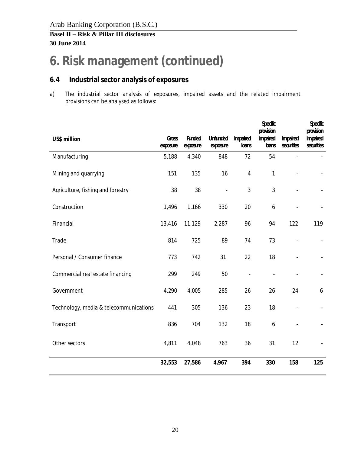# **6. Risk management (continued)**

### **6.4 Industrial sector analysis of exposures**

a) The industrial sector analysis of exposures, impaired assets and the related impairment provisions can be analysed as follows:

| US\$ million                           | Gross<br>exposure | Funded<br>exposure | Unfunded<br>exposure | Impaired<br>lcans | <b>Specific</b><br>provision<br>impaired<br>loans | Impaired<br>securities | <b>Specific</b><br>provision<br>impaired<br>securities |
|----------------------------------------|-------------------|--------------------|----------------------|-------------------|---------------------------------------------------|------------------------|--------------------------------------------------------|
| Manufacturing                          | 5,188             | 4,340              | 848                  | 72                | 54                                                |                        |                                                        |
| Mining and quarrying                   | 151               | 135                | 16                   | $\overline{4}$    | $\mathbf{1}$                                      |                        |                                                        |
| Agriculture, fishing and forestry      | 38                | 38                 |                      | 3                 | 3                                                 |                        |                                                        |
| Construction                           | 1,496             | 1,166              | 330                  | 20                | 6                                                 |                        |                                                        |
| Financial                              | 13,416            | 11,129             | 2,287                | 96                | 94                                                | 122                    | 119                                                    |
| Trade                                  | 814               | 725                | 89                   | 74                | 73                                                |                        |                                                        |
| Personal / Consumer finance            | 773               | 742                | 31                   | 22                | 18                                                |                        |                                                        |
| Commercial real estate financing       | 299               | 249                | 50                   | L,                |                                                   |                        |                                                        |
| Government                             | 4,290             | 4,005              | 285                  | 26                | 26                                                | 24                     | 6                                                      |
| Technology, media & telecommunications | 441               | 305                | 136                  | 23                | 18                                                |                        |                                                        |
| Transport                              | 836               | 704                | 132                  | 18                | 6                                                 |                        |                                                        |
| Other sectors                          | 4,811             | 4,048              | 763                  | 36                | 31                                                | 12                     |                                                        |
|                                        | 32,553            | 27,586             | 4,967                | 394               | 330                                               | 158                    | 125                                                    |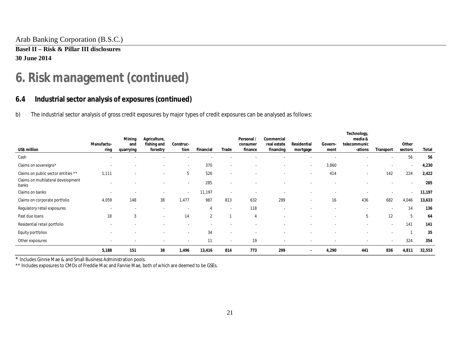Arab Banking Corporation (B.S.C.)

**Basel II – Risk & Pillar III disclosures 30 June 2014**

# **6. Risk management (continued)**

### **6.4 Industrial sector analysis of exposures (continued)**

b) The industrial sector analysis of gross credit exposures by major types of credit exposures can be analysed as follows:

|                                             |            | Mining    | Agriculture,             |                          |           |        | Personal / | Commercial               |             |         | Technology,<br>media &   |           |         |        |
|---------------------------------------------|------------|-----------|--------------------------|--------------------------|-----------|--------|------------|--------------------------|-------------|---------|--------------------------|-----------|---------|--------|
|                                             | Manufactu- | and       | fishing and              | Construc-                |           |        | consumer   | real estate              | Residential | Govern- | telecommunic             |           | Other   |        |
| US\$ million                                | ring       | quarrying | forestry                 | tion                     | Financial | Trade  | finance    | financing                | mortgage    | ment    | -ations                  | Transport | sectors | Total  |
| Cash                                        |            |           |                          |                          |           |        |            |                          |             |         |                          |           | 56      | 56     |
| Claims on sovereigns*                       | ٠          |           | ٠                        | $\sim$                   | 370       | $\sim$ |            | ٠                        | $\sim$      | 3,860   | ٠                        | $\sim$    | $\sim$  | 4,230  |
| Claims on public sector entities **         | 1,111      |           | ٠                        | 5                        | 526       | ٠      |            |                          | $\sim$      | 414     | ۰.                       | 142       | 224     | 2,422  |
| Claims on multilateral development<br>banks |            |           | ٠                        | $\sim$                   | 285       | $\sim$ |            |                          |             |         |                          |           | $\sim$  | 285    |
| Claims on banks                             | ٠          | $\sim$    | $\overline{\phantom{a}}$ | $\sim$                   | 11,197    | $\sim$ |            | ٠                        | $\sim$      |         | ٠                        | $\sim$    | $\sim$  | 11,197 |
| Claims on corporate portfolio               | 4,059      | 148       | 38                       | 1,477                    | 987       | 813    | 632        | 299                      | $\sim$      | 16      | 436                      | 682       | 4,046   | 13,633 |
| Regulatory retail exposures                 | $\sim$     | $\sim$    | $\overline{\phantom{a}}$ | $\sim$                   | 4         | $\sim$ | 118        | ٠                        |             |         | $\overline{\phantom{a}}$ |           | 14      | 136    |
| Past due loans                              | 18         | 3         | ٠                        | 14                       | 2         | -1     | 4          |                          |             |         | 5                        | 12        | 5       | 64     |
| Residential retail portfolio                |            |           | ٠                        | $\overline{\phantom{a}}$ | $\sim$    |        |            |                          |             |         |                          | $\sim$    | 141     | 141    |
| Equity portfolios                           |            |           | ٠                        | . .                      | 34        | $\sim$ |            |                          |             |         |                          |           | 11      | 35     |
| Other exposures                             | ۰          |           | ۰                        | $\overline{\phantom{a}}$ | 11        | $\sim$ | 19         | $\overline{\phantom{a}}$ |             |         | ۰                        | $\sim$    | 324     | 354    |
|                                             | 5,188      | 151       | 38                       | 1,496                    | 13,416    | 814    | 773        | 299                      | $\sim$      | 4,290   | 441                      | 836       | 4,811   | 32,553 |

\* Includes Ginnie Mae & and Small Business Administration pools.

\*\* Includes exposures to CMOs of Freddie Mac and Fannie Mae, both of which are deemed to be GSEs.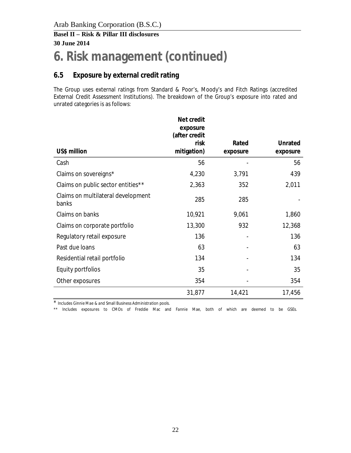## **6. Risk management (continued)**

### **6.5 Exposure by external credit rating**

The Group uses external ratings from Standard & Poor's, Moody's and Fitch Ratings (accredited External Credit Assessment Institutions). The breakdown of the Group's exposure into rated and unrated categories is as follows:

|                                             | Net credit            |          |          |
|---------------------------------------------|-----------------------|----------|----------|
|                                             | exposure              |          |          |
|                                             | (after credit<br>risk | Rated    | Unrated  |
| US\$ million                                | mitigation)           | exposure | exposure |
| Cash                                        | 56                    |          | 56       |
| Claims on sovereigns*                       | 4,230                 | 3,791    | 439      |
| Claims on public sector entities**          | 2,363                 | 352      | 2,011    |
| Claims on multilateral development<br>banks | 285                   | 285      |          |
| Claims on banks                             | 10,921                | 9,061    | 1,860    |
| Claims on corporate portfolio               | 13,300                | 932      | 12,368   |
| Regulatory retail exposure                  | 136                   |          | 136      |
| Past due loans                              | 63                    |          | 63       |
| Residential retail portfolio                | 134                   |          | 134      |
| Equity portfolios                           | 35                    |          | 35       |
| Other exposures                             | 354                   |          | 354      |
|                                             | 31,877                | 14,421   | 17,456   |

\* Includes Ginnie Mae & and Small Business Administration pools.

\*\* Includes exposures to CMOs of Freddie Mac and Fannie Mae, both of which are deemed to be GSEs.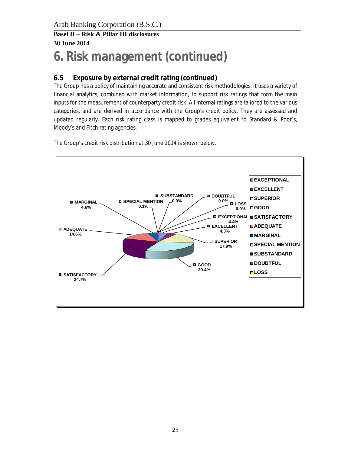# **6. Risk management (continued)**

### **6.5 Exposure by external credit rating (continued)**

The Group has a policy of maintaining accurate and consistent risk methodologies. It uses a variety of financial analytics, combined with market information, to support risk ratings that form the main inputs for the measurement of counterparty credit risk. All internal ratings are tailored to the various categories, and are derived in accordance with the Group's credit policy. They are assessed and updated regularly. Each risk rating class is mapped to grades equivalent to Standard & Poor's, Moody's and Fitch rating agencies.

The Group's credit risk distribution at 30 June 2014 is shown below.

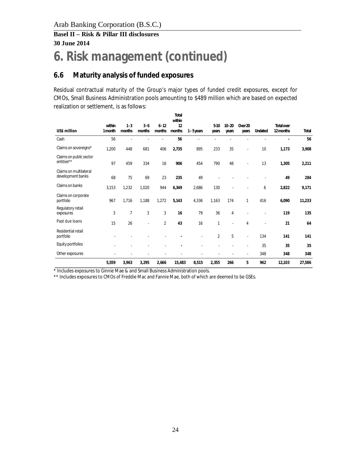## **6. Risk management (continued)**

### **6.6 Maturity analysis of funded exposures**

Residual contractual maturity of the Group's major types of funded credit exposures, except for CMOs, Small Business Administration pools amounting to \$489 million which are based on expected realization or settlement, is as follows:

| US\$ million                                | within<br>1 month | $1 - 3$<br>months | $3 - 6$<br>months | $6 - 12$<br>months | Total<br>within<br>12<br>months | $1 - 5$ years | $5-10$<br>years | $10 - 20$<br>years | Over <sub>20</sub><br>years | Undated | Total over<br>12 months | Total  |
|---------------------------------------------|-------------------|-------------------|-------------------|--------------------|---------------------------------|---------------|-----------------|--------------------|-----------------------------|---------|-------------------------|--------|
| Cash                                        | 56                |                   |                   |                    | 56                              | ä,            |                 |                    |                             |         |                         | 56     |
| Claims on sovereigns*                       | 1,200             | 448               | 681               | 406                | 2,735                           | 895           | 233             | 35                 | ٠                           | 10      | 1,173                   | 3,908  |
| Claims on public sector<br>entities**       | 97                | 459               | 334               | 16                 | 906                             | 454           | 790             | 48                 | ٠                           | 13      | 1,305                   | 2,211  |
| Claims on multilateral<br>development banks | 68                | 75                | 69                | 23                 | 235                             | 49            |                 |                    |                             |         | 49                      | 284    |
| Claims on banks                             | 3,153             | 1,232             | 1,020             | 944                | 6,349                           | 2,686         | 130             |                    |                             | 6       | 2,822                   | 9,171  |
| Claims on corporate<br>portfolio            | 967               | 1,716             | 1,188             | 1,272              | 5,143                           | 4,336         | 1,163           | 174                | 1                           | 416     | 6,090                   | 11,233 |
| Regulatory retail<br>exposures              | 3                 | 7                 | 3                 | 3                  | 16                              | 79            | 36              | $\overline{4}$     |                             |         | 119                     | 135    |
| Past due loans                              | 15                | 26                |                   | $\overline{2}$     | 43                              | 16            | $\mathbf{1}$    |                    | 4                           |         | 21                      | 64     |
| Residential retail<br>portfolio             |                   |                   |                   |                    |                                 | ٠             | $\overline{2}$  | 5                  | $\overline{\phantom{a}}$    | 134     | 141                     | 141    |
| Equity portfolios                           |                   |                   |                   |                    |                                 |               |                 |                    |                             | 35      | 35                      | 35     |
| Other exposures                             |                   |                   |                   |                    |                                 |               |                 |                    |                             | 348     | 348                     | 348    |
|                                             | 5,559             | 3,963             | 3,295             | 2,666              | 15,483                          | 8,515         | 2,355           | 266                | 5                           | 962     | 12,103                  | 27,586 |

\* Includes exposures to Ginnie Mae & and Small Business Administration pools.

\*\* Includes exposures to CMOs of Freddie Mac and Fannie Mae, both of which are deemed to be GSEs.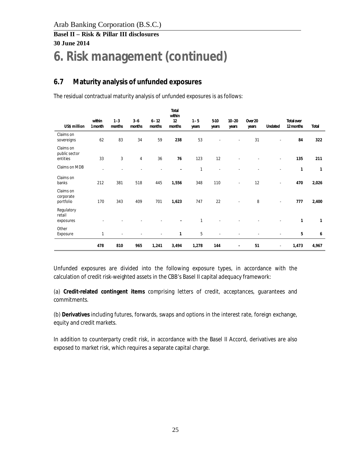## **6. Risk management (continued)**

### **6.7 Maturity analysis of unfunded exposures**

The residual contractual maturity analysis of unfunded exposures is as follows:

| US\$ million                           | within<br>1 month | $1 - 3$<br>months | $3 - 6$<br>months | $6 - 12$<br>months | Total<br>within<br>12<br>months | $1 - 5$<br>years | $5-10$<br>years | $10 - 20$<br>years | Over 20<br>years | Undated | Total over<br>12 months | Total        |
|----------------------------------------|-------------------|-------------------|-------------------|--------------------|---------------------------------|------------------|-----------------|--------------------|------------------|---------|-------------------------|--------------|
| Claims on<br>sovereigns                | 62                | 83                | 34                | 59                 | 238                             | 53               | ٠               |                    | 31               | ٠       | 84                      | 322          |
| Claims on<br>public sector<br>entities | 33                | 3                 | 4                 | 36                 | 76                              | 123              | 12              |                    |                  | ٠       | 135                     | 211          |
| Claims on MDB                          | ä,                |                   |                   |                    | ä,                              | 1                |                 |                    |                  |         | $\mathbf{1}$            | $\mathbf{1}$ |
| Claims on<br>banks                     | 212               | 381               | 518               | 445                | 1,556                           | 348              | 110             | ٠                  | 12               | ٠       | 470                     | 2,026        |
| Claims on<br>corporate<br>portfolio    | 170               | 343               | 409               | 701                | 1,623                           | 747              | 22              | ٠                  | 8                | $\sim$  | 777                     | 2,400        |
| Regulatory<br>retail<br>exposures      |                   |                   |                   |                    |                                 | 1                |                 |                    |                  |         | $\mathbf{1}$            | $\mathbf{1}$ |
| Other<br>Exposure                      | 1                 |                   |                   |                    | $\mathbf{1}$                    | 5                |                 |                    |                  | ×.      | 5                       | 6            |
|                                        | 478               | 810               | 965               | 1,241              | 3,494                           | 1,278            | 144             | ÷                  | 51               | $\sim$  | 1,473                   | 4,967        |

Unfunded exposures are divided into the following exposure types, in accordance with the calculation of credit risk-weighted assets in the CBB's Basel II capital adequacy framework:

(a) **Credit-related contingent items** comprising letters of credit, acceptances, guarantees and commitments.

(b) **Derivatives** including futures, forwards, swaps and options in the interest rate, foreign exchange, equity and credit markets.

In addition to counterparty credit risk, in accordance with the Basel II Accord, derivatives are also exposed to market risk, which requires a separate capital charge.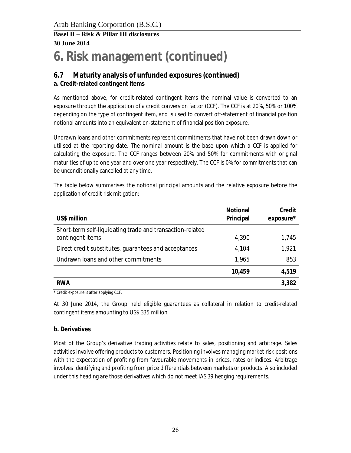## **6. Risk management (continued)**

### **6.7 Maturity analysis of unfunded exposures (continued)**

**a. Credit-related contingent items**

As mentioned above, for credit-related contingent items the nominal value is converted to an exposure through the application of a credit conversion factor (CCF). The CCF is at 20%, 50% or 100% depending on the type of contingent item, and is used to convert off-statement of financial position notional amounts into an equivalent on-statement of financial position exposure.

Undrawn loans and other commitments represent commitments that have not been drawn down or utilised at the reporting date. The nominal amount is the base upon which a CCF is applied for calculating the exposure. The CCF ranges between 20% and 50% for commitments with original maturities of up to one year and over one year respectively. The CCF is 0% for commitments that can be unconditionally cancelled at any time.

The table below summarises the notional principal amounts and the relative exposure before the application of credit risk mitigation:

| US\$ million                                                                  | Notional<br>Principal | Credit<br>exposure* |
|-------------------------------------------------------------------------------|-----------------------|---------------------|
| Short-term self-liquidating trade and transaction-related<br>contingent items | 4,390                 | 1,745               |
| Direct credit substitutes, guarantees and acceptances                         | 4,104                 | 1,921               |
| Undrawn loans and other commitments                                           | 1,965                 | 853                 |
|                                                                               | 10,459                | 4,519               |
| RWA                                                                           |                       | 3,382               |

\* Credit exposure is after applying CCF.

At 30 June 2014, the Group held eligible guarantees as collateral in relation to credit-related contingent items amounting to US\$ 335 million.

#### **b. Derivatives**

Most of the Group's derivative trading activities relate to sales, positioning and arbitrage. Sales activities involve offering products to customers. Positioning involves managing market risk positions with the expectation of profiting from favourable movements in prices, rates or indices. Arbitrage involves identifying and profiting from price differentials between markets or products. Also included under this heading are those derivatives which do not meet IAS 39 hedging requirements.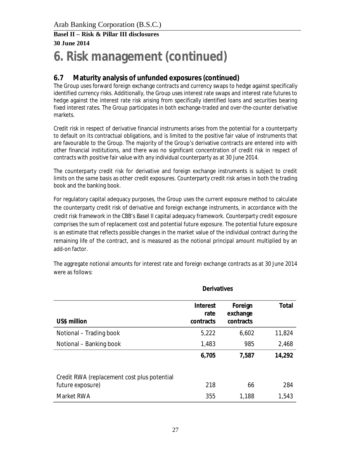## **6. Risk management (continued)**

### **6.7 Maturity analysis of unfunded exposures (continued)**

The Group uses forward foreign exchange contracts and currency swaps to hedge against specifically identified currency risks. Additionally, the Group uses interest rate swaps and interest rate futures to hedge against the interest rate risk arising from specifically identified loans and securities bearing fixed interest rates. The Group participates in both exchange-traded and over-the-counter derivative markets.

Credit risk in respect of derivative financial instruments arises from the potential for a counterparty to default on its contractual obligations, and is limited to the positive fair value of instruments that are favourable to the Group. The majority of the Group's derivative contracts are entered into with other financial institutions, and there was no significant concentration of credit risk in respect of contracts with positive fair value with any individual counterparty as at 30 June 2014.

The counterparty credit risk for derivative and foreign exchange instruments is subject to credit limits on the same basis as other credit exposures. Counterparty credit risk arises in both the trading book and the banking book.

For regulatory capital adequacy purposes, the Group uses the current exposure method to calculate the counterparty credit risk of derivative and foreign exchange instruments, in accordance with the credit risk framework in the CBB's Basel II capital adequacy framework. Counterparty credit exposure comprises the sum of replacement cost and potential future exposure. The potential future exposure is an estimate that reflects possible changes in the market value of the individual contract during the remaining life of the contract, and is measured as the notional principal amount multiplied by an add-on factor.

The aggregate notional amounts for interest rate and foreign exchange contracts as at 30 June 2014 were as follows:

|                                                                 | Derivatives                   |                                  |        |  |  |  |
|-----------------------------------------------------------------|-------------------------------|----------------------------------|--------|--|--|--|
| US\$ million                                                    | Interest<br>rate<br>contracts | Foreign<br>exchange<br>contracts | Total  |  |  |  |
| Notional – Trading book                                         | 5,222                         | 6,602                            | 11,824 |  |  |  |
| Notional – Banking book                                         | 1,483                         | 985                              | 2,468  |  |  |  |
|                                                                 | 6,705                         | 7,587                            | 14,292 |  |  |  |
| Credit RWA (replacement cost plus potential<br>future exposure) | 218                           | 66                               | 284    |  |  |  |
| <b>Market RWA</b>                                               | 355                           | 1,188                            | 1,543  |  |  |  |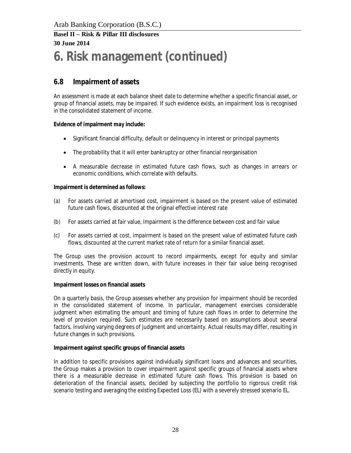## **6. Risk management (continued)**

#### **6.8 Impairment of assets**

An assessment is made at each balance sheet date to determine whether a specific financial asset, or group of financial assets, may be impaired. If such evidence exists, an impairment loss is recognised in the consolidated statement of income.

**Evidence of impairment may include:**

- · Significant financial difficulty, default or delinquency in interest or principal payments
- The probability that it will enter bankruptcy or other financial reorganisation
- · A measurable decrease in estimated future cash flows, such as changes in arrears or economic conditions, which correlate with defaults.

**Impairment is determined as follows:**

- (a) For assets carried at amortised cost, impairment is based on the present value of estimated future cash flows, discounted at the original effective interest rate
- (b) For assets carried at fair value, impairment is the difference between cost and fair value
- (c) For assets carried at cost, impairment is based on the present value of estimated future cash flows, discounted at the current market rate of return for a similar financial asset.

The Group uses the provision account to record impairments, except for equity and similar investments. These are written down, with future increases in their fair value being recognised directly in equity.

**Impairment losses on financial assets**

On a quarterly basis, the Group assesses whether any provision for impairment should be recorded in the consolidated statement of income. In particular, management exercises considerable judgment when estimating the amount and timing of future cash flows in order to determine the level of provision required. Such estimates are necessarily based on assumptions about several factors, involving varying degrees of judgment and uncertainty. Actual results may differ, resulting in future changes in such provisions.

**Impairment against specific groups of financial assets**

In addition to specific provisions against individually significant loans and advances and securities, the Group makes a provision to cover impairment against specific groups of financial assets where there is a measurable decrease in estimated future cash flows. This provision is based on deterioration of the financial assets, decided by subjecting the portfolio to rigorous credit risk scenario testing and averaging the existing Expected Loss (EL) with a severely stressed scenario EL.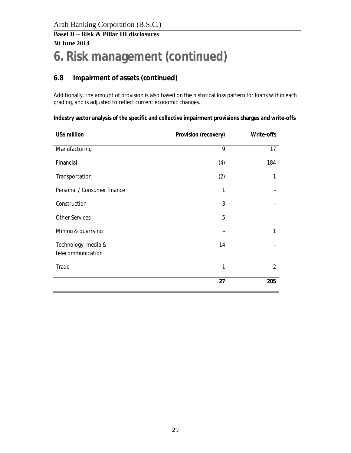## **6. Risk management (continued)**

### **6.8 Impairment of assets (continued)**

Additionally, the amount of provision is also based on the historical loss pattern for loans within each grading, and is adjusted to reflect current economic changes.

**Industry sector analysis of the specific and collective impairment provisions charges and write-offs**

| US\$ million                             | Provision (recovery) | Write-offs |
|------------------------------------------|----------------------|------------|
| Manufacturing                            | 9                    | 17         |
| Financial                                | (4)                  | 184        |
| Transportation                           | (2)                  | 1          |
| Personal / Consumer finance              | 1                    |            |
| Construction                             | 3                    |            |
| <b>Other Services</b>                    | 5                    |            |
| Mining & quarrying                       |                      |            |
| Technology, media &<br>telecommunication | 14                   |            |
| Trade                                    | 1                    | 2          |
|                                          | 27                   | 205        |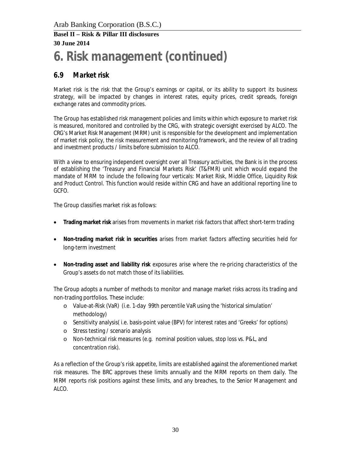## **6. Risk management (continued)**

### **6.9 Market risk**

Market risk is the risk that the Group's earnings or capital, or its ability to support its business strategy, will be impacted by changes in interest rates, equity prices, credit spreads, foreign exchange rates and commodity prices.

The Group has established risk management policies and limits within which exposure to market risk is measured, monitored and controlled by the CRG, with strategic oversight exercised by ALCO. The CRG's Market Risk Management (MRM) unit is responsible for the development and implementation of market risk policy, the risk measurement and monitoring framework, and the review of all trading and investment products / limits before submission to ALCO.

With a view to ensuring independent oversight over all Treasury activities, the Bank is in the process of establishing the 'Treasury and Financial Markets Risk' (T&FMR) unit which would expand the mandate of MRM to include the following four verticals: Market Risk, Middle Office, Liquidity Risk and Product Control. This function would reside within CRG and have an additional reporting line to GCFO.

The Group classifies market risk as follows:

- · **Trading market risk** arises from movements in market risk factors that affect short-term trading
- · **Non-trading market risk in securities** arises from market factors affecting securities held for long-term investment
- · **Non-trading asset and liability risk** exposures arise where the re-pricing characteristics of the Group's assets do not match those of its liabilities.

The Group adopts a number of methods to monitor and manage market risks across its trading and non-trading portfolios. These include:

- o Value-at-Risk (VaR) (i.e. 1-day 99th percentile VaR using the 'historical simulation' methodology)
- o Sensitivity analysis( i.e. basis-point value (BPV) for interest rates and 'Greeks' for options)
- o Stress testing / scenario analysis
- o Non-technical risk measures (e.g. nominal position values, stop loss vs. P&L, and concentration risk).

As a reflection of the Group's risk appetite, limits are established against the aforementioned market risk measures. The BRC approves these limits annually and the MRM reports on them daily. The MRM reports risk positions against these limits, and any breaches, to the Senior Management and ALCO.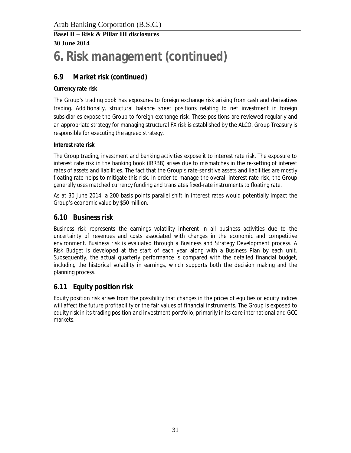## **6. Risk management (continued)**

### **6.9 Market risk (continued)**

#### **Currency rate risk**

The Group's trading book has exposures to foreign exchange risk arising from cash and derivatives trading. Additionally, structural balance sheet positions relating to net investment in foreign subsidiaries expose the Group to foreign exchange risk. These positions are reviewed regularly and an appropriate strategy for managing structural FX risk is established by the ALCO. Group Treasury is responsible for executing the agreed strategy.

#### **Interest rate risk**

The Group trading, investment and banking activities expose it to interest rate risk. The exposure to interest rate risk in the banking book (IRRBB) arises due to mismatches in the re-setting of interest rates of assets and liabilities. The fact that the Group's rate-sensitive assets and liabilities are mostly floating rate helps to mitigate this risk. In order to manage the overall interest rate risk, the Group generally uses matched currency funding and translates fixed-rate instruments to floating rate.

As at 30 June 2014, a 200 basis points parallel shift in interest rates would potentially impact the Group's economic value by \$50 million.

#### **6.10 Business risk**

Business risk represents the earnings volatility inherent in all business activities due to the uncertainty of revenues and costs associated with changes in the economic and competitive environment. Business risk is evaluated through a Business and Strategy Development process. A Risk Budget is developed at the start of each year along with a Business Plan by each unit. Subsequently, the actual quarterly performance is compared with the detailed financial budget, including the historical volatility in earnings, which supports both the decision making and the planning process.

#### **6.11 Equity position risk**

Equity position risk arises from the possibility that changes in the prices of equities or equity indices will affect the future profitability or the fair values of financial instruments. The Group is exposed to equity risk in its trading position and investment portfolio, primarily in its core international and GCC markets.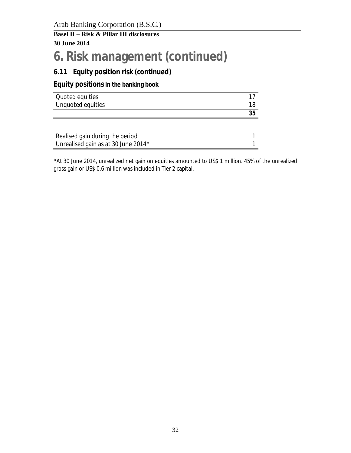Arab Banking Corporation (B.S.C.)

#### **Basel II – Risk & Pillar III disclosures 30 June 2014**

## **6. Risk management (continued)**

### **6.11 Equity position risk (continued)**

**Equity positions in the banking book**

| Quoted equities                     |    |
|-------------------------------------|----|
| Unquoted equities                   | 18 |
|                                     | 35 |
|                                     |    |
|                                     |    |
| Realised gain during the period     |    |
| Unrealised gain as at 30 June 2014* |    |

\*At 30 June 2014, unrealized net gain on equities amounted to US\$ 1 million. 45% of the unrealized gross gain or US\$ 0.6 million was included in Tier 2 capital.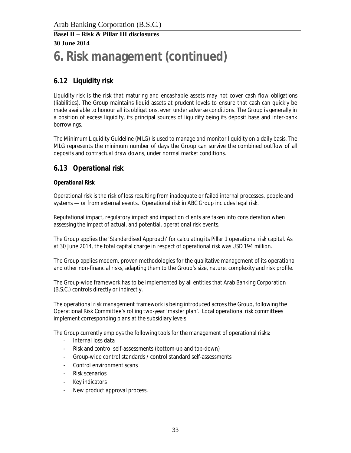## **6. Risk management (continued)**

### **6.12 Liquidity risk**

Liquidity risk is the risk that maturing and encashable assets may not cover cash flow obligations (liabilities). The Group maintains liquid assets at prudent levels to ensure that cash can quickly be made available to honour all its obligations, even under adverse conditions. The Group is generally in a position of excess liquidity, its principal sources of liquidity being its deposit base and inter-bank borrowings.

The Minimum Liquidity Guideline (MLG) is used to manage and monitor liquidity on a daily basis. The MLG represents the minimum number of days the Group can survive the combined outflow of all deposits and contractual draw downs, under normal market conditions.

#### **6.13 Operational risk**

#### **Operational Risk**

Operational risk is the risk of loss resulting from inadequate or failed internal processes, people and systems — or from external events. Operational risk in ABC Group includes legal risk.

Reputational impact, regulatory impact and impact on clients are taken into consideration when assessing the impact of actual, and potential, operational risk events.

The Group applies the 'Standardised Approach' for calculating its Pillar 1 operational risk capital. As at 30 June 2014, the total capital charge in respect of operational risk was USD 194 million.

The Group applies modern, proven methodologies for the qualitative management of its operational and other non-financial risks, adapting them to the Group's size, nature, complexity and risk profile.

The Group-wide framework has to be implemented by all entities that Arab Banking Corporation (B.S.C.) controls directly or indirectly.

The operational risk management framework is being introduced across the Group, following the Operational Risk Committee's rolling two-year 'master plan'. Local operational risk committees implement corresponding plans at the subsidiary levels.

The Group currently employs the following tools for the management of operational risks:

- Internal loss data
- Risk and control self-assessments (bottom-up and top-down)
- Group-wide control standards / control standard self-assessments
- Control environment scans
- Risk scenarios
- Key indicators
- New product approval process.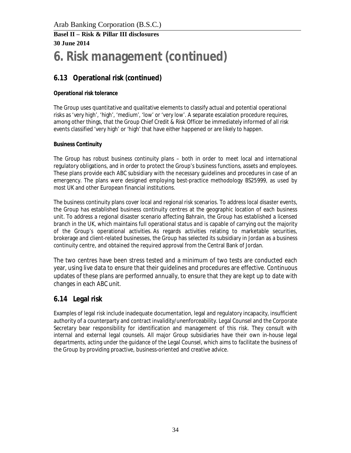## **6. Risk management (continued)**

### **6.13 Operational risk (continued)**

#### **Operational risk tolerance**

The Group uses quantitative and qualitative elements to classify actual and potential operational risks as 'very high', 'high', 'medium', 'low' or 'very low'. A separate escalation procedure requires, among other things, that the Group Chief Credit & Risk Officer be immediately informed of all risk events classified 'very high' or 'high' that have either happened or are likely to happen.

#### **Business Continuity**

The Group has robust business continuity plans – both in order to meet local and international regulatory obligations, and in order to protect the Group's business functions, assets and employees. These plans provide each ABC subsidiary with the necessary guidelines and procedures in case of an emergency. The plans were designed employing best-practice methodology BS25999, as used by most UK and other European financial institutions.

The business continuity plans cover local and regional risk scenarios. To address local disaster events, the Group has established business continuity centres at the geographic location of each business unit. To address a regional disaster scenario affecting Bahrain, the Group has established a licensed branch in the UK, which maintains full operational status and is capable of carrying out the majority of the Group's operational activities. As regards activities relating to marketable securities, brokerage and client-related businesses, the Group has selected its subsidiary in Jordan as a business continuity centre, and obtained the required approval from the Central Bank of Jordan.

The two centres have been stress tested and a minimum of two tests are conducted each year, using live data to ensure that their guidelines and procedures are effective. Continuous updates of these plans are performed annually, to ensure that they are kept up to date with changes in each ABC unit.

#### **6.14 Legal risk**

Examples of legal risk include inadequate documentation, legal and regulatory incapacity, insufficient authority of a counterparty and contract invalidity/unenforceability. Legal Counsel and the Corporate Secretary bear responsibility for identification and management of this risk. They consult with internal and external legal counsels. All major Group subsidiaries have their own in-house legal departments, acting under the guidance of the Legal Counsel, which aims to facilitate the business of the Group by providing proactive, business-oriented and creative advice.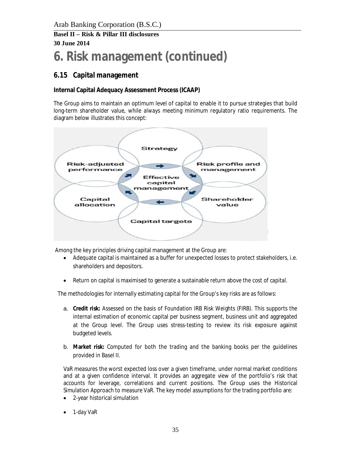## **6. Risk management (continued)**

#### **6.15 Capital management**

**Internal Capital Adequacy Assessment Process (ICAAP)**

The Group aims to maintain an optimum level of capital to enable it to pursue strategies that build long-term shareholder value, while always meeting minimum regulatory ratio requirements. The diagram below illustrates this concept:



Among the key principles driving capital management at the Group are:

- · Adequate capital is maintained as a buffer for unexpected losses to protect stakeholders, i.e. shareholders and depositors.
- · Return on capital is maximised to generate a sustainable return above the cost of capital.

The methodologies for internally estimating capital for the Group's key risks are as follows:

- a. **Credit risk:** Assessed on the basis of Foundation IRB Risk Weights (FIRB). This supports the internal estimation of economic capital per business segment, business unit and aggregated at the Group level. The Group uses stress-testing to review its risk exposure against budgeted levels.
- b. **Market risk:** Computed for both the trading and the banking books per the guidelines provided in Basel II.

VaR measures the worst expected loss over a given timeframe, under normal market conditions and at a given confidence interval. It provides an aggregate view of the portfolio's risk that accounts for leverage, correlations and current positions. The Group uses the Historical Simulation Approach to measure VaR. The key model assumptions for the trading portfolio are:

- · 2-year historical simulation
- · 1-day VaR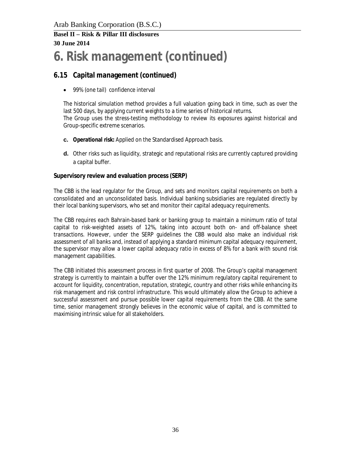## **6. Risk management (continued)**

#### **6.15 Capital management (continued)**

• 99% (one tail) confidence interval

The historical simulation method provides a full valuation going back in time, such as over the last 500 days, by applying current weights to a time series of historical returns. The Group uses the stress-testing methodology to review its exposures against historical and Group-specific extreme scenarios.

- **c. Operational risk:** Applied on the Standardised Approach basis.
- **d.** Other risks such as liquidity, strategic and reputational risks are currently captured providing a capital buffer.

#### **Supervisory review and evaluation process (SERP)**

The CBB is the lead regulator for the Group, and sets and monitors capital requirements on both a consolidated and an unconsolidated basis. Individual banking subsidiaries are regulated directly by their local banking supervisors, who set and monitor their capital adequacy requirements.

The CBB requires each Bahrain-based bank or banking group to maintain a minimum ratio of total capital to risk-weighted assets of 12%, taking into account both on- and off-balance sheet transactions. However, under the SERP guidelines the CBB would also make an individual risk assessment of all banks and, instead of applying a standard minimum capital adequacy requirement, the supervisor may allow a lower capital adequacy ratio in excess of 8% for a bank with sound risk management capabilities.

The CBB initiated this assessment process in first quarter of 2008. The Group's capital management strategy is currently to maintain a buffer over the 12% minimum regulatory capital requirement to account for liquidity, concentration, reputation, strategic, country and other risks while enhancing its risk management and risk control infrastructure. This would ultimately allow the Group to achieve a successful assessment and pursue possible lower capital requirements from the CBB. At the same time, senior management strongly believes in the economic value of capital, and is committed to maximising intrinsic value for all stakeholders.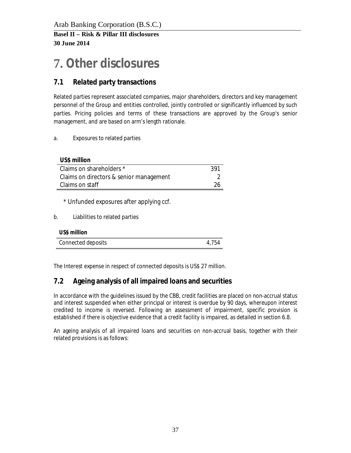# **7. Other disclosures**

### **7.1 Related party transactions**

Related parties represent associated companies, major shareholders, directors and key management personnel of the Group and entities controlled, jointly controlled or significantly influenced by such parties. Pricing policies and terms of these transactions are approved by the Group's senior management, and are based on arm's length rationale.

a. Exposures to related parties

| US\$ million                            |      |
|-----------------------------------------|------|
| Claims on shareholders *                | -391 |
| Claims on directors & senior management |      |
| Claims on staff                         | -26. |

\* Unfunded exposures after applying ccf.

b. Liabilities to related parties

| US\$ million       |       |
|--------------------|-------|
| Connected deposits | 4.754 |

The Interest expense in respect of connected deposits is US\$ 27 million.

### **7.2 Ageing analysis of all impaired loans and securities**

In accordance with the guidelines issued by the CBB, credit facilities are placed on non-accrual status and interest suspended when either principal or interest is overdue by 90 days, whereupon interest credited to income is reversed. Following an assessment of impairment, specific provision is established if there is objective evidence that a credit facility is impaired, as detailed in section 6.8.

An ageing analysis of all impaired loans and securities on non-accrual basis, together with their related provisions is as follows: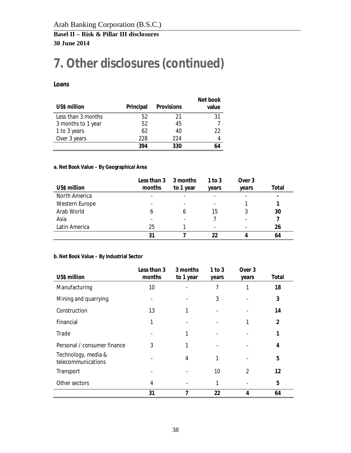# **7. Other disclosures (continued)**

#### **Loans**

| US\$ million       | Principal | Provisions | Net book<br>value |
|--------------------|-----------|------------|-------------------|
| Less than 3 months | 52        | 21         | 31                |
| 3 months to 1 year | 52        | 45         |                   |
| 1 to 3 years       | 62        | 40         | 22                |
| Over 3 years       | 228       | 224        |                   |
|                    | 394       | 330        |                   |

#### **a. Net Book Value – By Geographical Area**

|                | Less than 3              | 3 months  | $1$ to $3$ | Over 3 |       |
|----------------|--------------------------|-----------|------------|--------|-------|
| US\$ million   | months                   | to 1 year | years      | years  | Total |
| North America  | $\overline{\phantom{a}}$ |           |            |        |       |
| Western Europe |                          |           |            |        |       |
| Arab World     | h                        | h         | 15         |        | 30    |
| Asia           |                          |           |            |        |       |
| Latin America  | 25                       |           |            |        | 26    |
|                | 31                       |           | 22         |        | 64    |

#### **b. Net Book Value – By Industrial Sector**

| US\$ million                              | Less than 3<br>months | 3 months<br>to 1 year | $1$ to $3$<br>years | Over <sub>3</sub><br>years | Total             |
|-------------------------------------------|-----------------------|-----------------------|---------------------|----------------------------|-------------------|
| Manufacturing                             | 10                    |                       |                     |                            | 18                |
| Mining and quarrying                      |                       |                       | 3                   |                            | 3                 |
| Construction                              | 13                    |                       |                     |                            | 14                |
| Financial                                 |                       |                       |                     |                            | 2                 |
| Trade                                     |                       |                       |                     |                            |                   |
| Personal / consumer finance               | 3                     |                       |                     |                            | 4                 |
| Technology, media &<br>telecommunications |                       | 4                     |                     |                            | 5                 |
| Transport                                 |                       |                       | 10                  | 2                          | $12 \overline{ }$ |
| Other sectors                             | 4                     |                       | 1                   |                            | 5                 |
|                                           | 31                    | 7                     | 22                  | 4                          | 64                |